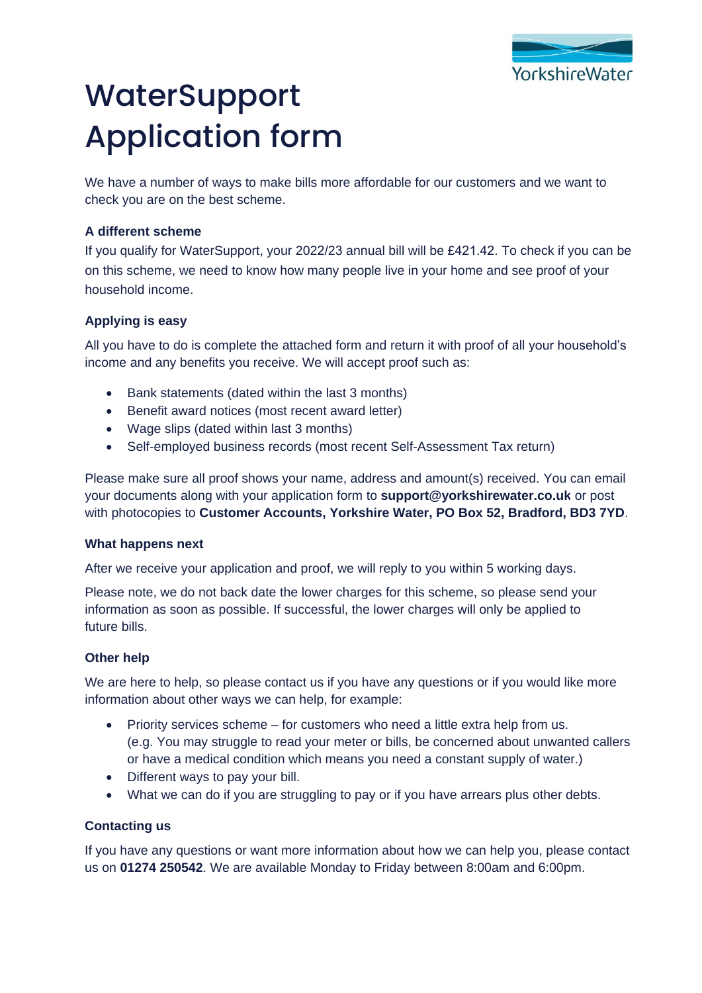

# **WaterSupport** Application form

We have a number of ways to make bills more affordable for our customers and we want to check you are on the best scheme.

## **A different scheme**

If you qualify for WaterSupport, your 2022/23 annual bill will be £421.42. To check if you can be on this scheme, we need to know how many people live in your home and see proof of your household income.

## **Applying is easy**

All you have to do is complete the attached form and return it with proof of all your household's income and any benefits you receive. We will accept proof such as:

- Bank statements (dated within the last 3 months)
- Benefit award notices (most recent award letter)
- Wage slips (dated within last 3 months)
- Self-employed business records (most recent Self-Assessment Tax return)

Please make sure all proof shows your name, address and amount(s) received. You can email your documents along with your application form to **[support@yorkshirewater.co.uk](mailto:support@yorkshirewater.co.uk)** or post with photocopies to **Customer Accounts, Yorkshire Water, PO Box 52, Bradford, BD3 7YD**.

#### **What happens next**

After we receive your application and proof, we will reply to you within 5 working days.

Please note, we do not back date the lower charges for this scheme, so please send your information as soon as possible. If successful, the lower charges will only be applied to future bills.

#### **Other help**

We are here to help, so please contact us if you have any questions or if you would like more information about other ways we can help, for example:

- Priority services scheme for customers who need a little extra help from us. (e.g. You may struggle to read your meter or bills, be concerned about unwanted callers or have a medical condition which means you need a constant supply of water.)
- Different ways to pay your bill.
- What we can do if you are struggling to pay or if you have arrears plus other debts.

#### **Contacting us**

If you have any questions or want more information about how we can help you, please contact us on **[01274 250542](tel:01274250542)**. We are available Monday to Friday between 8:00am and 6:00pm.